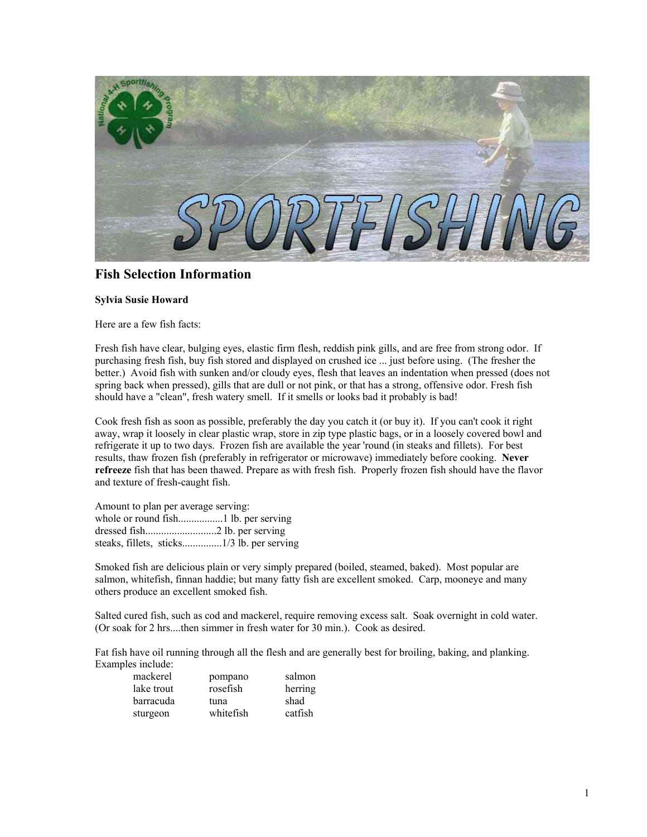

## **Fish Selection Information**

## **Sylvia Susie Howard**

Here are a few fish facts:

Fresh fish have clear, bulging eyes, elastic firm flesh, reddish pink gills, and are free from strong odor. If purchasing fresh fish, buy fish stored and displayed on crushed ice ... just before using. (The fresher the better.) Avoid fish with sunken and/or cloudy eyes, flesh that leaves an indentation when pressed (does not spring back when pressed), gills that are dull or not pink, or that has a strong, offensive odor. Fresh fish should have a "clean", fresh watery smell. If it smells or looks bad it probably is bad!

Cook fresh fish as soon as possible, preferably the day you catch it (or buy it). If you can't cook it right away, wrap it loosely in clear plastic wrap, store in zip type plastic bags, or in a loosely covered bowl and refrigerate it up to two days. Frozen fish are available the year 'round (in steaks and fillets). For best results, thaw frozen fish (preferably in refrigerator or microwave) immediately before cooking. **Never refreeze** fish that has been thawed. Prepare as with fresh fish. Properly frozen fish should have the flavor and texture of fresh-caught fish.

Amount to plan per average serving: whole or round fish.................1 lb. per serving dressed fish...........................2 lb. per serving steaks, fillets, sticks...............1/3 lb. per serving

Smoked fish are delicious plain or very simply prepared (boiled, steamed, baked). Most popular are salmon, whitefish, finnan haddie; but many fatty fish are excellent smoked. Carp, mooneye and many others produce an excellent smoked fish.

Salted cured fish, such as cod and mackerel, require removing excess salt. Soak overnight in cold water. (Or soak for 2 hrs....then simmer in fresh water for 30 min.). Cook as desired.

Fat fish have oil running through all the flesh and are generally best for broiling, baking, and planking. Examples include:

| mackerel   | pompano   | salmon  |
|------------|-----------|---------|
| lake trout | rosefish  | herring |
| barracuda  | tuna      | shad    |
| sturgeon   | whitefish | catfish |